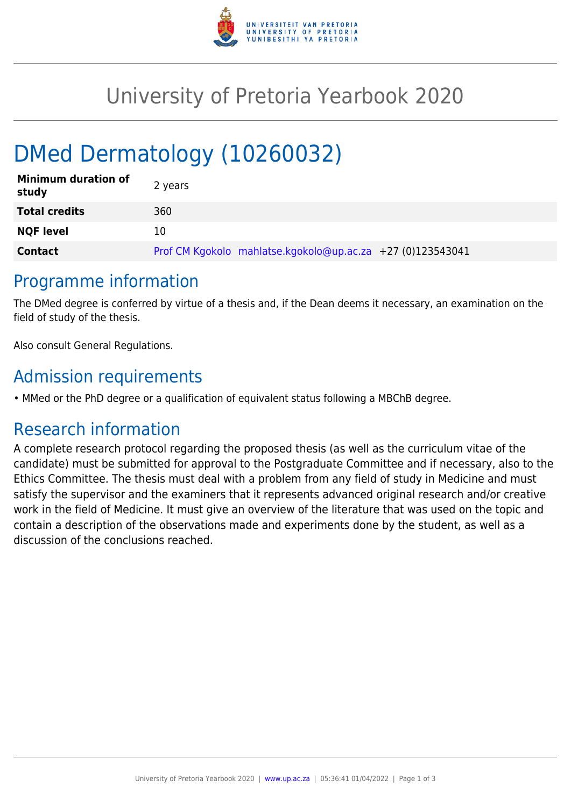

# University of Pretoria Yearbook 2020

# DMed Dermatology (10260032)

| <b>Minimum duration of</b><br>study | 2 years                                                    |
|-------------------------------------|------------------------------------------------------------|
| <b>Total credits</b>                | 360                                                        |
| <b>NQF level</b>                    | 10                                                         |
| <b>Contact</b>                      | Prof CM Kgokolo mahlatse.kgokolo@up.ac.za +27 (0)123543041 |

### Programme information

The DMed degree is conferred by virtue of a thesis and, if the Dean deems it necessary, an examination on the field of study of the thesis.

Also consult General Regulations.

# Admission requirements

• MMed or the PhD degree or a qualification of equivalent status following a MBChB degree.

# Research information

A complete research protocol regarding the proposed thesis (as well as the curriculum vitae of the candidate) must be submitted for approval to the Postgraduate Committee and if necessary, also to the Ethics Committee. The thesis must deal with a problem from any field of study in Medicine and must satisfy the supervisor and the examiners that it represents advanced original research and/or creative work in the field of Medicine. It must give an overview of the literature that was used on the topic and contain a description of the observations made and experiments done by the student, as well as a discussion of the conclusions reached.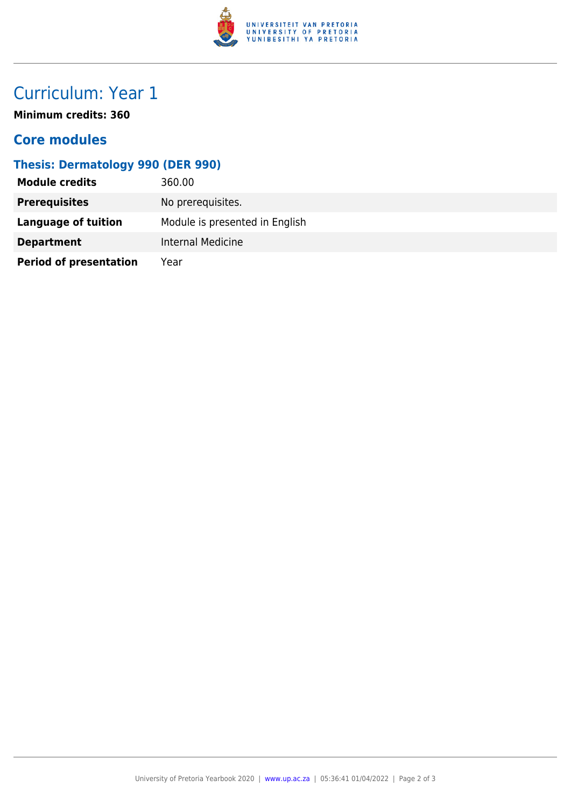

# Curriculum: Year 1

**Minimum credits: 360**

### **Core modules**

### **Thesis: Dermatology 990 (DER 990)**

| <b>Module credits</b>         | 360.00                         |
|-------------------------------|--------------------------------|
| <b>Prerequisites</b>          | No prerequisites.              |
| Language of tuition           | Module is presented in English |
| <b>Department</b>             | Internal Medicine              |
| <b>Period of presentation</b> | Year                           |